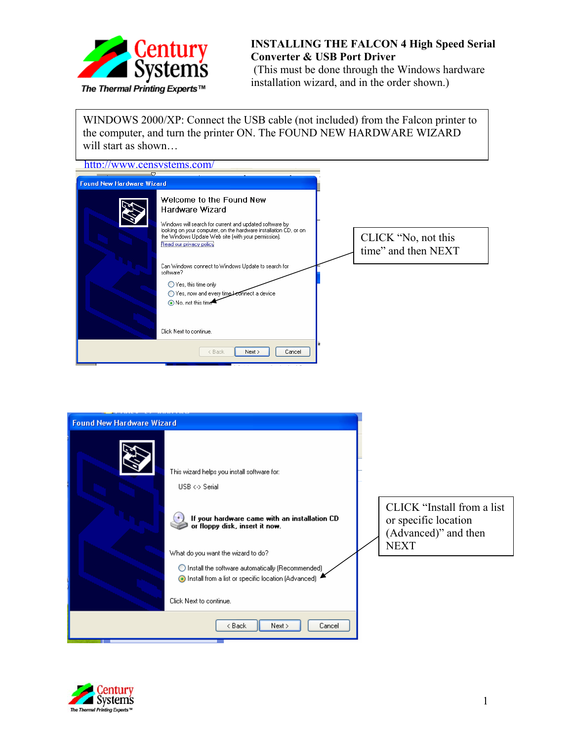

## **INSTALLING THE FALCON 4 High Speed Serial Converter & USB Port Driver**

(This must be done through the Windows hardware installation wizard, and in the order shown.)

WINDOWS 2000/XP: Connect the USB cable (not included) from the Falcon printer to the computer, and turn the printer ON. The FOUND NEW HARDWARE WIZARD will start as shown…

| http://www.censystems.com/                                                                                                                                                                                                                                                                                                                                                                                                                                                                          |                                            |
|-----------------------------------------------------------------------------------------------------------------------------------------------------------------------------------------------------------------------------------------------------------------------------------------------------------------------------------------------------------------------------------------------------------------------------------------------------------------------------------------------------|--------------------------------------------|
| $\overline{C}$<br><b>Found New Hardware Wizard</b>                                                                                                                                                                                                                                                                                                                                                                                                                                                  |                                            |
| Welcome to the Found New<br>Hardware Wizard<br>Windows will search for current and updated software by<br>looking on your computer, on the hardware installation CD, or on<br>the Windows Update Web site (with your permission).<br>Read our privacy policy<br>Can Windows connect to Windows Update to search for<br>software?<br>◯ Yes, this time only<br>Yes, now and every time betthere t a device<br>No, not this time <sup>*</sup><br>Click Next to continue.<br>Next ><br>< Back<br>Cancel | CLICK "No, not this<br>time" and then NEXT |
| <b>Found New Hardware Wizard</b>                                                                                                                                                                                                                                                                                                                                                                                                                                                                    |                                            |
| This wizard helps you install software for:                                                                                                                                                                                                                                                                                                                                                                                                                                                         |                                            |



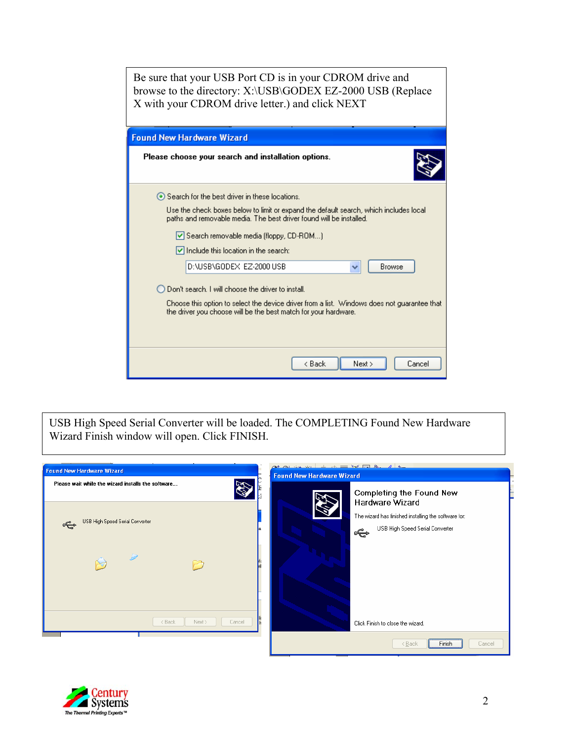| Be sure that your USB Port CD is in your CDROM drive and<br>browse to the directory: X:\USB\GODEX EZ-2000 USB (Replace<br>X with your CDROM drive letter.) and click NEXT                                                                                                                                                                        |  |  |  |
|--------------------------------------------------------------------------------------------------------------------------------------------------------------------------------------------------------------------------------------------------------------------------------------------------------------------------------------------------|--|--|--|
| <b>Found New Hardware Wizard</b>                                                                                                                                                                                                                                                                                                                 |  |  |  |
| Please choose your search and installation options.                                                                                                                                                                                                                                                                                              |  |  |  |
| ⊙ Search for the best driver in these locations.<br>Use the check boxes below to limit or expand the default search, which includes local<br>paths and removable media. The best driver found will be installed.<br>Search removable media (floppy, CD-ROM)<br>$\vee$ Include this location in the search:<br>D:\USB\GODEX_EZ-2000 USB<br>Browse |  |  |  |
| $\bigcap$ Don't search. I will choose the driver to install.                                                                                                                                                                                                                                                                                     |  |  |  |
| Choose this option to select the device driver from a list. Windows does not guarantee that<br>the driver you choose will be the best match for your hardware.                                                                                                                                                                                   |  |  |  |
| < Back<br>Next<br>Cancel                                                                                                                                                                                                                                                                                                                         |  |  |  |

USB High Speed Serial Converter will be loaded. The COMPLETING Found New Hardware Wizard Finish window will open. Click FINISH.



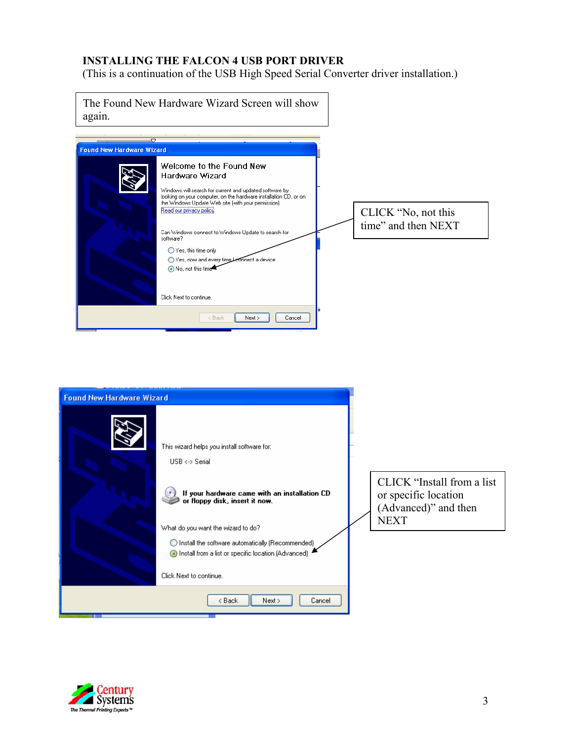## **INSTALLING THE FALCON 4 USB PORT DRIVER**

(This is a continuation of the USB High Speed Serial Converter driver installation.)

| again.                           | The Found New Hardware Wizard Screen will show                                                                                                                                                                                                                                                                                                                                                                                                         |                                            |
|----------------------------------|--------------------------------------------------------------------------------------------------------------------------------------------------------------------------------------------------------------------------------------------------------------------------------------------------------------------------------------------------------------------------------------------------------------------------------------------------------|--------------------------------------------|
| <b>Found New Hardware Wizard</b> | $\bigtriangledown$                                                                                                                                                                                                                                                                                                                                                                                                                                     |                                            |
|                                  | Welcome to the Found New<br>Hardware Wizard<br>Windows will search for current and updated software by<br>looking on your computer, on the hardware installation CD, or on<br>the Windows Update Web site (with your permission).<br>Read our privacy policy<br>Can Windows connect to Windows Update to search for<br>software?<br>◯ Yes, this time only<br>Yes, now and every time beonnect a device<br>No, not this time<br>Click Next to continue. | CLICK "No, not this<br>time" and then NEXT |
|                                  | Cancel<br>Next ><br>< Back                                                                                                                                                                                                                                                                                                                                                                                                                             |                                            |

| <b>Found New Hardware Wizard</b> |                                                                                                                                      |                                                                                           |
|----------------------------------|--------------------------------------------------------------------------------------------------------------------------------------|-------------------------------------------------------------------------------------------|
|                                  | This wizard helps you install software for:<br>$USB \leftrightarrow$ Serial                                                          |                                                                                           |
|                                  | If your hardware came with an installation CD<br>or floppy disk, insert it now.<br>What do you want the wizard to do?                | CLICK "Install from a list<br>or specific location<br>(Advanced)" and then<br><b>NEXT</b> |
|                                  | ◯ Install the software automatically (Recommended)<br>Install from a list or specific location (Advanced)<br>Click Next to continue. |                                                                                           |
|                                  | < Back<br>Next<br>Cancel                                                                                                             |                                                                                           |